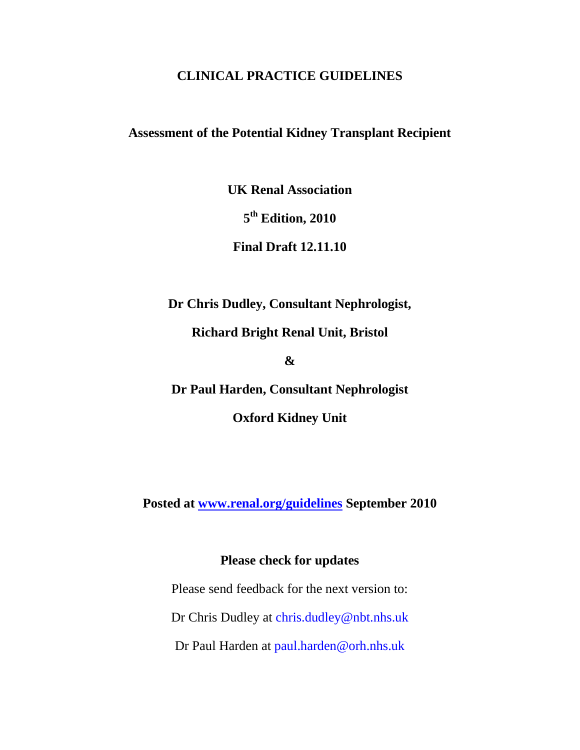## **CLINICAL PRACTICE GUIDELINES**

# **Assessment of the Potential Kidney Transplant Recipient**

**UK Renal Association**

**5 th Edition, 2010**

**Final Draft 12.11.10**

**Dr Chris Dudley, Consultant Nephrologist,**

**Richard Bright Renal Unit, Bristol**

**&**

**Dr Paul Harden, Consultant Nephrologist**

**Oxford Kidney Unit**

**Posted at [www.renal.org/guidelines](http://www.renal.org/guidelines) September 2010**

# **Please check for updates**

Please send feedback for the next version to: Dr Chris Dudley at chris.dudley@nbt.nhs.uk Dr Paul Harden at paul.harden@orh.nhs.uk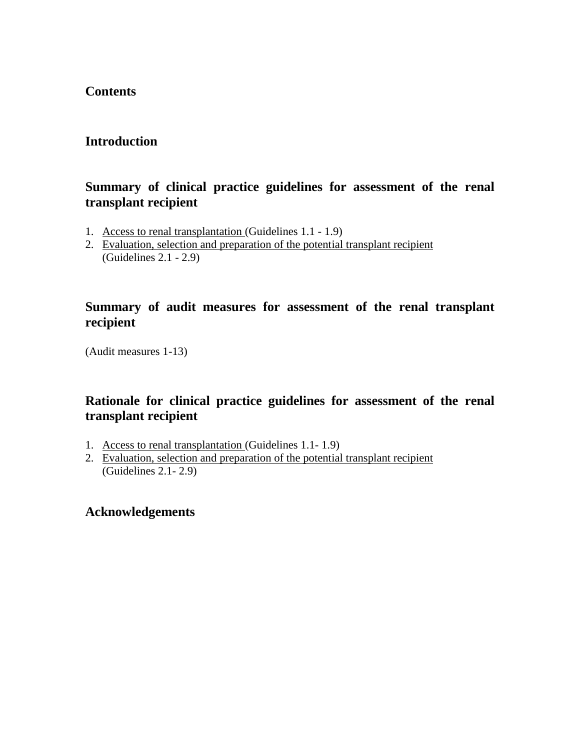# **Contents**

# **Introduction**

# **Summary of clinical practice guidelines for assessment of the renal transplant recipient**

- 1. Access to renal transplantation (Guidelines 1.1 1.9)
- 2. Evaluation, selection and preparation of the potential transplant recipient (Guidelines 2.1 - 2.9)

# **Summary of audit measures for assessment of the renal transplant recipient**

(Audit measures 1-13)

# **Rationale for clinical practice guidelines for assessment of the renal transplant recipient**

- 1. Access to renal transplantation (Guidelines 1.1- 1.9)
- 2. Evaluation, selection and preparation of the potential transplant recipient (Guidelines 2.1- 2.9)

# **Acknowledgements**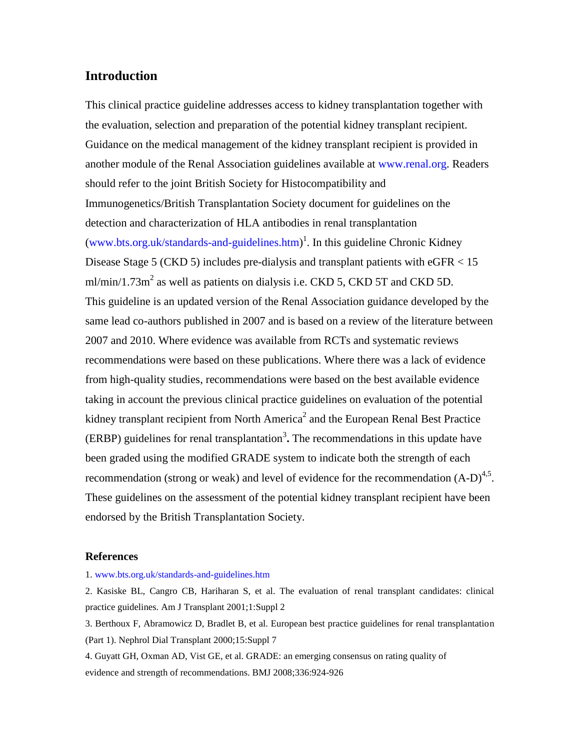## **Introduction**

This clinical practice guideline addresses access to kidney transplantation together with the evaluation, selection and preparation of the potential kidney transplant recipient. Guidance on the medical management of the kidney transplant recipient is provided in another module of the Renal Association guidelines available at www.renal.org. Readers should refer to the joint British Society for Histocompatibility and Immunogenetics/British Transplantation Society document for guidelines on the detection and characterization of HLA antibodies in renal transplantation (www.bts.org.uk/standards-and-guidelines.htm) 1 . In this guideline Chronic Kidney Disease Stage 5 (CKD 5) includes pre-dialysis and transplant patients with eGFR < 15 ml/min/1.73m<sup>2</sup> as well as patients on dialysis i.e. CKD 5, CKD 5T and CKD 5D. This guideline is an updated version of the Renal Association guidance developed by the same lead co-authors published in 2007 and is based on a review of the literature between 2007 and 2010. Where evidence was available from RCTs and systematic reviews recommendations were based on these publications. Where there was a lack of evidence from high-quality studies, recommendations were based on the best available evidence taking in account the previous clinical practice guidelines on evaluation of the potential kidney transplant recipient from North America<sup>2</sup> and the European Renal Best Practice  $(ERBP)$  guidelines for renal transplantation<sup>3</sup>. The recommendations in this update have been graded using the modified GRADE system to indicate both the strength of each recommendation (strong or weak) and level of evidence for the recommendation  $(A-D)^{4,5}$ . These guidelines on the assessment of the potential kidney transplant recipient have been endorsed by the British Transplantation Society.

#### **References**

1. www.bts.org.uk/standards-and-guidelines.htm

2. Kasiske BL, Cangro CB, Hariharan S, et al. The evaluation of renal transplant candidates: clinical practice guidelines. Am J Transplant 2001;1:Suppl 2

3. Berthoux F, Abramowicz D, Bradlet B, et al. European best practice guidelines for renal transplantation (Part 1). Nephrol Dial Transplant 2000;15:Suppl 7

4. Guyatt GH, Oxman AD, Vist GE, et al. GRADE: an emerging consensus on rating quality of evidence and strength of recommendations. BMJ 2008;336:924-926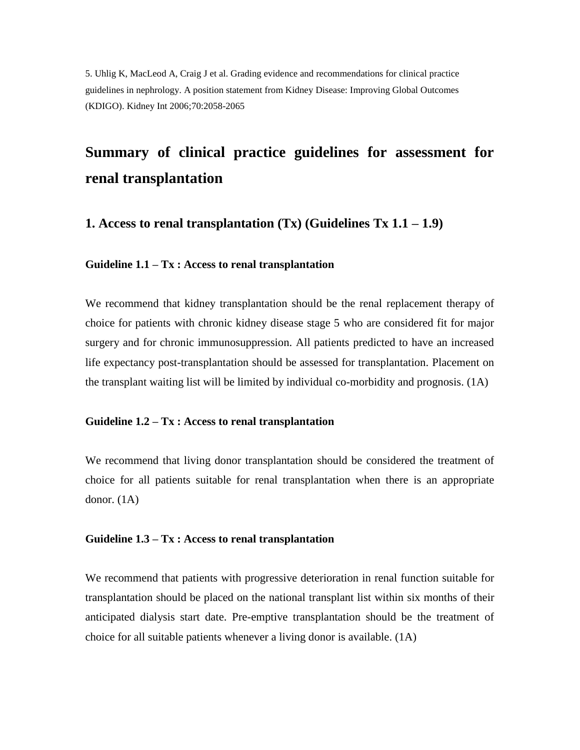5. Uhlig K, MacLeod A, Craig J et al. Grading evidence and recommendations for clinical practice guidelines in nephrology. A position statement from Kidney Disease: Improving Global Outcomes (KDIGO). Kidney Int 2006;70:2058-2065

# **Summary of clinical practice guidelines for assessment for renal transplantation**

**1. Access to renal transplantation (Tx) (Guidelines Tx 1.1 – 1.9)** 

## **Guideline 1.1 – Tx : Access to renal transplantation**

We recommend that kidney transplantation should be the renal replacement therapy of choice for patients with chronic kidney disease stage 5 who are considered fit for major surgery and for chronic immunosuppression. All patients predicted to have an increased life expectancy post-transplantation should be assessed for transplantation. Placement on the transplant waiting list will be limited by individual co-morbidity and prognosis.  $(1A)$ 

#### **Guideline 1.2 – Tx : Access to renal transplantation**

We recommend that living donor transplantation should be considered the treatment of choice for all patients suitable for renal transplantation when there is an appropriate donor. (1A)

#### **Guideline 1.3 – Tx : Access to renal transplantation**

We recommend that patients with progressive deterioration in renal function suitable for transplantation should be placed on the national transplant list within six months of their anticipated dialysis start date. Pre-emptive transplantation should be the treatment of choice for all suitable patients whenever a living donor is available. (1A)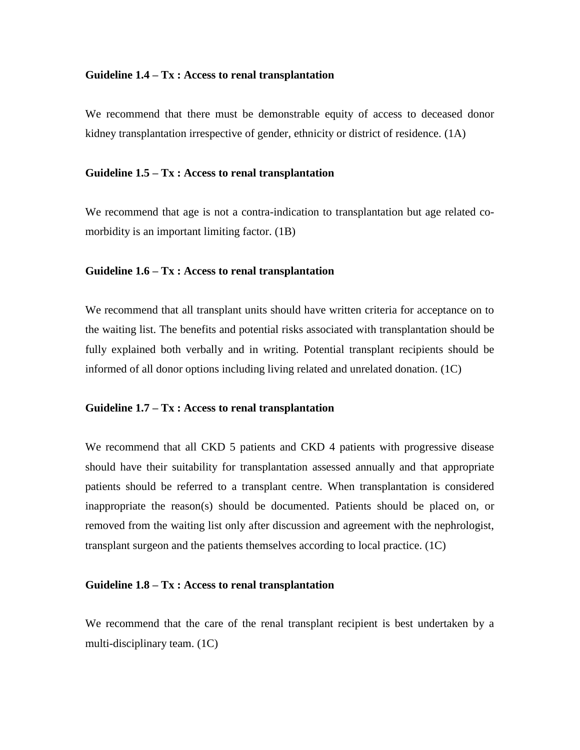#### **Guideline 1.4 – Tx : Access to renal transplantation**

We recommend that there must be demonstrable equity of access to deceased donor kidney transplantation irrespective of gender, ethnicity or district of residence. (1A)

#### **Guideline 1.5 – Tx : Access to renal transplantation**

We recommend that age is not a contra-indication to transplantation but age related comorbidity is an important limiting factor. (1B)

#### **Guideline 1.6 – Tx : Access to renal transplantation**

We recommend that all transplant units should have written criteria for acceptance on to the waiting list. The benefits and potential risks associated with transplantation should be fully explained both verbally and in writing. Potential transplant recipients should be informed of all donor options including living related and unrelated donation. (1C)

## **Guideline 1.7 – Tx : Access to renal transplantation**

We recommend that all CKD 5 patients and CKD 4 patients with progressive disease should have their suitability for transplantation assessed annually and that appropriate patients should be referred to a transplant centre. When transplantation is considered inappropriate the reason(s) should be documented. Patients should be placed on, or removed from the waiting list only after discussion and agreement with the nephrologist, transplant surgeon and the patients themselves according to local practice. (1C)

## **Guideline 1.8 – Tx : Access to renal transplantation**

We recommend that the care of the renal transplant recipient is best undertaken by a multi-disciplinary team. (1C)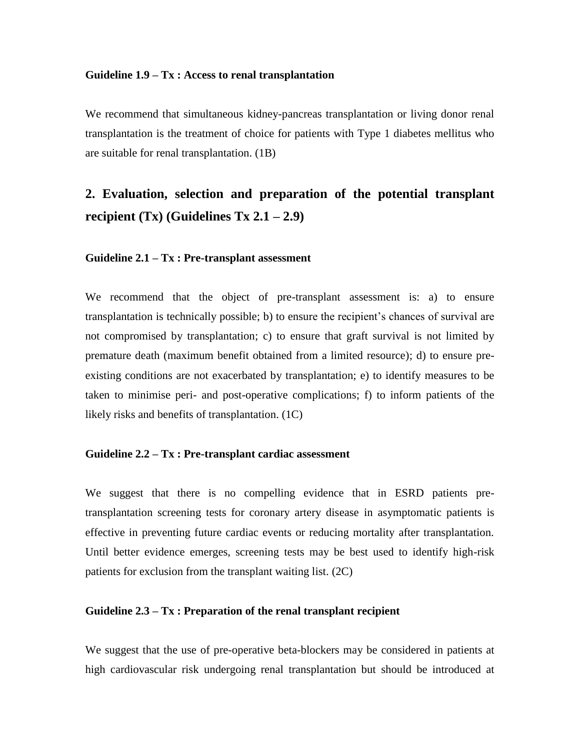#### **Guideline 1.9 – Tx : Access to renal transplantation**

We recommend that simultaneous kidney-pancreas transplantation or living donor renal transplantation is the treatment of choice for patients with Type 1 diabetes mellitus who are suitable for renal transplantation. (1B)

# **2. Evaluation, selection and preparation of the potential transplant**  recipient  $(Tx)$  (Guidelines  $Tx \, 2.1 - 2.9$ )

#### **Guideline 2.1 – Tx : Pre-transplant assessment**

We recommend that the object of pre-transplant assessment is: a) to ensure transplantation is technically possible; b) to ensure the recipient's chances of survival are not compromised by transplantation; c) to ensure that graft survival is not limited by premature death (maximum benefit obtained from a limited resource); d) to ensure preexisting conditions are not exacerbated by transplantation; e) to identify measures to be taken to minimise peri- and post-operative complications; f) to inform patients of the likely risks and benefits of transplantation. (1C)

#### **Guideline 2.2 – Tx : Pre-transplant cardiac assessment**

We suggest that there is no compelling evidence that in ESRD patients pretransplantation screening tests for coronary artery disease in asymptomatic patients is effective in preventing future cardiac events or reducing mortality after transplantation. Until better evidence emerges, screening tests may be best used to identify high-risk patients for exclusion from the transplant waiting list. (2C)

#### **Guideline 2.3 – Tx : Preparation of the renal transplant recipient**

We suggest that the use of pre-operative beta-blockers may be considered in patients at high cardiovascular risk undergoing renal transplantation but should be introduced at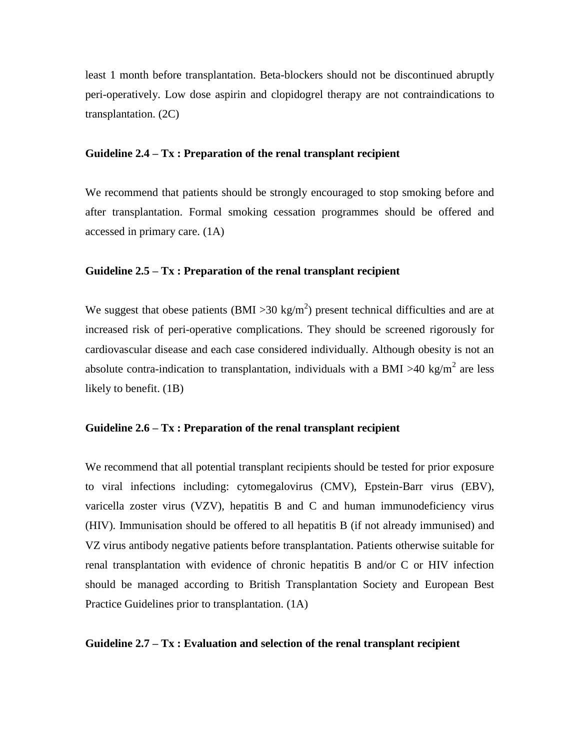least 1 month before transplantation. Beta-blockers should not be discontinued abruptly peri-operatively. Low dose aspirin and clopidogrel therapy are not contraindications to transplantation. (2C)

#### **Guideline 2.4 – Tx : Preparation of the renal transplant recipient**

We recommend that patients should be strongly encouraged to stop smoking before and after transplantation. Formal smoking cessation programmes should be offered and accessed in primary care. (1A)

## **Guideline 2.5 – Tx : Preparation of the renal transplant recipient**

We suggest that obese patients (BMI > 30 kg/m<sup>2</sup>) present technical difficulties and are at increased risk of peri-operative complications. They should be screened rigorously for cardiovascular disease and each case considered individually. Although obesity is not an absolute contra-indication to transplantation, individuals with a BMI >40 kg/m<sup>2</sup> are less likely to benefit. (1B)

## **Guideline 2.6 – Tx : Preparation of the renal transplant recipient**

We recommend that all potential transplant recipients should be tested for prior exposure to viral infections including: cytomegalovirus (CMV), Epstein-Barr virus (EBV), varicella zoster virus (VZV), hepatitis B and C and human immunodeficiency virus (HIV). Immunisation should be offered to all hepatitis B (if not already immunised) and VZ virus antibody negative patients before transplantation. Patients otherwise suitable for renal transplantation with evidence of chronic hepatitis B and/or C or HIV infection should be managed according to British Transplantation Society and European Best Practice Guidelines prior to transplantation. (1A)

#### **Guideline 2.7 – Tx : Evaluation and selection of the renal transplant recipient**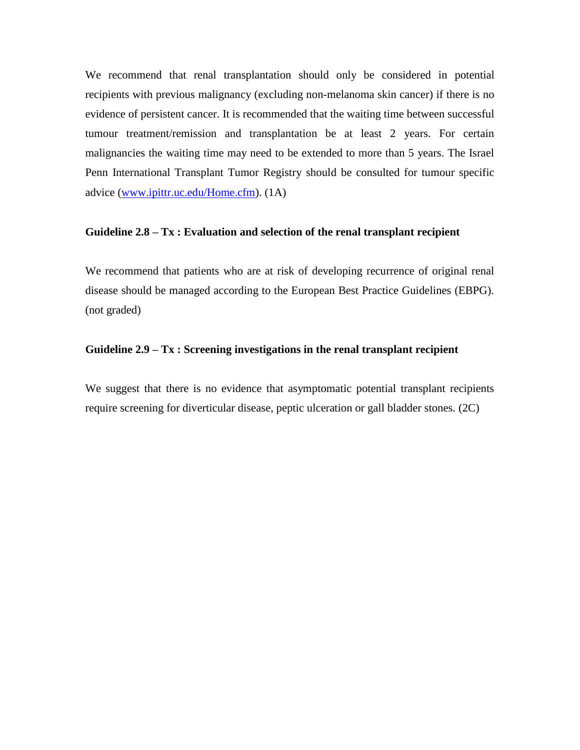We recommend that renal transplantation should only be considered in potential recipients with previous malignancy (excluding non-melanoma skin cancer) if there is no evidence of persistent cancer. It is recommended that the waiting time between successful tumour treatment/remission and transplantation be at least 2 years. For certain malignancies the waiting time may need to be extended to more than 5 years. The Israel Penn International Transplant Tumor Registry should be consulted for tumour specific advice [\(www.ipittr.uc.edu/Home.cfm\)](http://www.ipittr.uc.edu/Home.cfm). (1A)

## **Guideline 2.8 – Tx : Evaluation and selection of the renal transplant recipient**

We recommend that patients who are at risk of developing recurrence of original renal disease should be managed according to the European Best Practice Guidelines (EBPG). (not graded)

## **Guideline 2.9 – Tx : Screening investigations in the renal transplant recipient**

We suggest that there is no evidence that asymptomatic potential transplant recipients require screening for diverticular disease, peptic ulceration or gall bladder stones. (2C)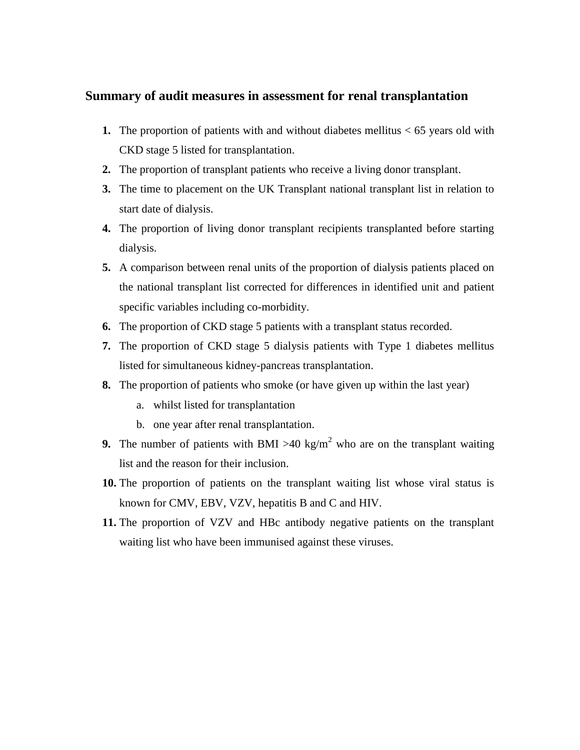## **Summary of audit measures in assessment for renal transplantation**

- **1.** The proportion of patients with and without diabetes mellitus < 65 years old with CKD stage 5 listed for transplantation.
- **2.** The proportion of transplant patients who receive a living donor transplant.
- **3.** The time to placement on the UK Transplant national transplant list in relation to start date of dialysis.
- **4.** The proportion of living donor transplant recipients transplanted before starting dialysis.
- **5.** A comparison between renal units of the proportion of dialysis patients placed on the national transplant list corrected for differences in identified unit and patient specific variables including co-morbidity.
- **6.** The proportion of CKD stage 5 patients with a transplant status recorded.
- **7.** The proportion of CKD stage 5 dialysis patients with Type 1 diabetes mellitus listed for simultaneous kidney-pancreas transplantation.
- **8.** The proportion of patients who smoke (or have given up within the last year)
	- a. whilst listed for transplantation
	- b. one year after renal transplantation.
- **9.** The number of patients with BMI  $>40 \text{ kg/m}^2$  who are on the transplant waiting list and the reason for their inclusion.
- **10.** The proportion of patients on the transplant waiting list whose viral status is known for CMV, EBV, VZV, hepatitis B and C and HIV.
- **11.** The proportion of VZV and HBc antibody negative patients on the transplant waiting list who have been immunised against these viruses.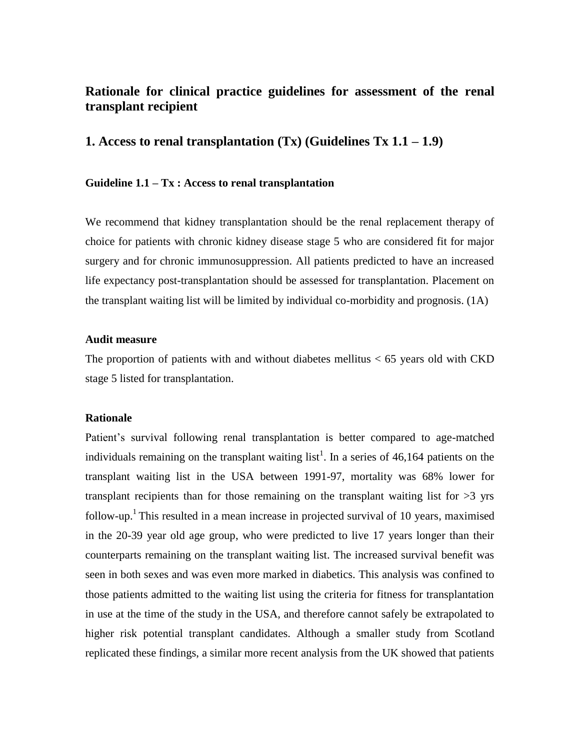# **Rationale for clinical practice guidelines for assessment of the renal transplant recipient**

## **1. Access to renal transplantation (Tx) (Guidelines Tx 1.1 – 1.9)**

#### **Guideline 1.1 – Tx : Access to renal transplantation**

We recommend that kidney transplantation should be the renal replacement therapy of choice for patients with chronic kidney disease stage 5 who are considered fit for major surgery and for chronic immunosuppression. All patients predicted to have an increased life expectancy post-transplantation should be assessed for transplantation. Placement on the transplant waiting list will be limited by individual co-morbidity and prognosis. (1A)

#### **Audit measure**

The proportion of patients with and without diabetes mellitus  $< 65$  years old with CKD stage 5 listed for transplantation.

#### **Rationale**

Patient's survival following renal transplantation is better compared to age-matched individuals remaining on the transplant waiting list<sup>1</sup>. In a series of 46,164 patients on the transplant waiting list in the USA between 1991-97, mortality was 68% lower for transplant recipients than for those remaining on the transplant waiting list for  $>3$  yrs follow-up.<sup>1</sup> This resulted in a mean increase in projected survival of 10 years, maximised in the 20-39 year old age group, who were predicted to live 17 years longer than their counterparts remaining on the transplant waiting list. The increased survival benefit was seen in both sexes and was even more marked in diabetics. This analysis was confined to those patients admitted to the waiting list using the criteria for fitness for transplantation in use at the time of the study in the USA, and therefore cannot safely be extrapolated to higher risk potential transplant candidates. Although a smaller study from Scotland replicated these findings, a similar more recent analysis from the UK showed that patients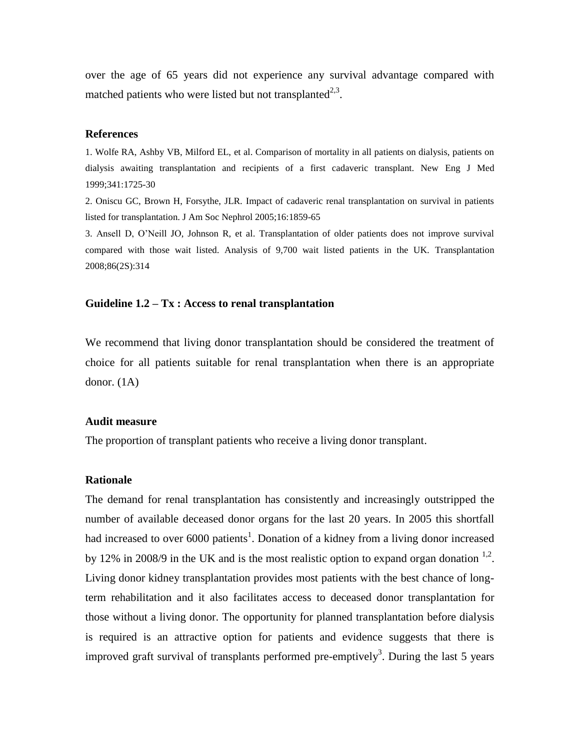over the age of 65 years did not experience any survival advantage compared with matched patients who were listed but not transplanted $2,3$ .

#### **References**

1. Wolfe RA, Ashby VB, Milford EL, et al. Comparison of mortality in all patients on dialysis, patients on dialysis awaiting transplantation and recipients of a first cadaveric transplant. New Eng J Med 1999;341:1725-30

2. Oniscu GC, Brown H, Forsythe, JLR. Impact of cadaveric renal transplantation on survival in patients listed for transplantation. J Am Soc Nephrol 2005;16:1859-65

3. Ansell D, O'Neill JO, Johnson R, et al. Transplantation of older patients does not improve survival compared with those wait listed. Analysis of 9,700 wait listed patients in the UK. Transplantation 2008;86(2S):314

#### **Guideline 1.2 – Tx : Access to renal transplantation**

We recommend that living donor transplantation should be considered the treatment of choice for all patients suitable for renal transplantation when there is an appropriate donor. (1A)

#### **Audit measure**

The proportion of transplant patients who receive a living donor transplant.

#### **Rationale**

The demand for renal transplantation has consistently and increasingly outstripped the number of available deceased donor organs for the last 20 years. In 2005 this shortfall had increased to over 6000 patients<sup>1</sup>. Donation of a kidney from a living donor increased by 12% in 2008/9 in the UK and is the most realistic option to expand organ donation  $^{1,2}$ . Living donor kidney transplantation provides most patients with the best chance of longterm rehabilitation and it also facilitates access to deceased donor transplantation for those without a living donor. The opportunity for planned transplantation before dialysis is required is an attractive option for patients and evidence suggests that there is improved graft survival of transplants performed pre-emptively<sup>3</sup>. During the last 5 years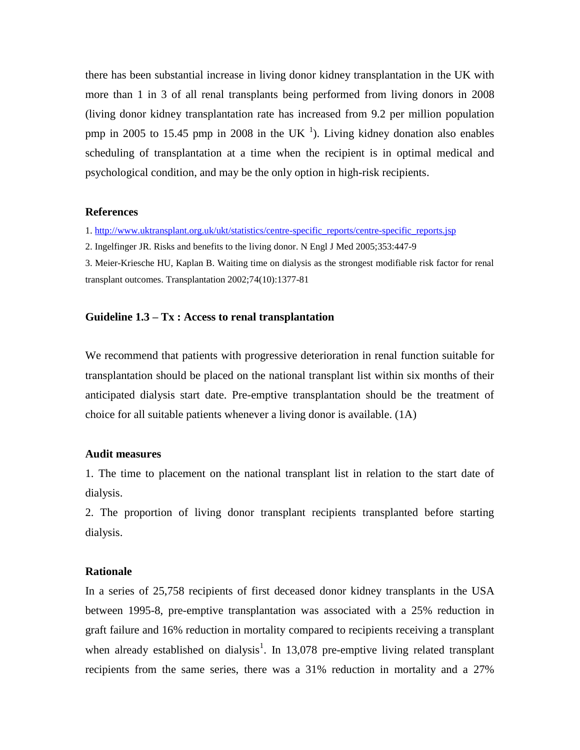there has been substantial increase in living donor kidney transplantation in the UK with more than 1 in 3 of all renal transplants being performed from living donors in 2008 (living donor kidney transplantation rate has increased from 9.2 per million population pmp in 2005 to 15.45 pmp in 2008 in the UK $<sup>1</sup>$ ). Living kidney donation also enables</sup> scheduling of transplantation at a time when the recipient is in optimal medical and psychological condition, and may be the only option in high-risk recipients.

#### **References**

1. [http://www.uktransplant.org.uk/ukt/statistics/centre-specific\\_reports/centre-specific\\_reports.jsp](http://www.uktransplant.org.uk/ukt/statistics/centre-specific_reports/centre-specific_reports.jsp)

2. Ingelfinger JR. Risks and benefits to the living donor. N Engl J Med 2005;353:447-9

3. Meier-Kriesche HU, Kaplan B. Waiting time on dialysis as the strongest modifiable risk factor for renal transplant outcomes. Transplantation 2002;74(10):1377-81

#### **Guideline 1.3 – Tx : Access to renal transplantation**

We recommend that patients with progressive deterioration in renal function suitable for transplantation should be placed on the national transplant list within six months of their anticipated dialysis start date. Pre-emptive transplantation should be the treatment of choice for all suitable patients whenever a living donor is available.  $(1A)$ 

## **Audit measures**

1. The time to placement on the national transplant list in relation to the start date of dialysis.

2. The proportion of living donor transplant recipients transplanted before starting dialysis.

#### **Rationale**

In a series of 25,758 recipients of first deceased donor kidney transplants in the USA between 1995-8, pre-emptive transplantation was associated with a 25% reduction in graft failure and 16% reduction in mortality compared to recipients receiving a transplant when already established on dialysis<sup>1</sup>. In 13,078 pre-emptive living related transplant recipients from the same series, there was a 31% reduction in mortality and a 27%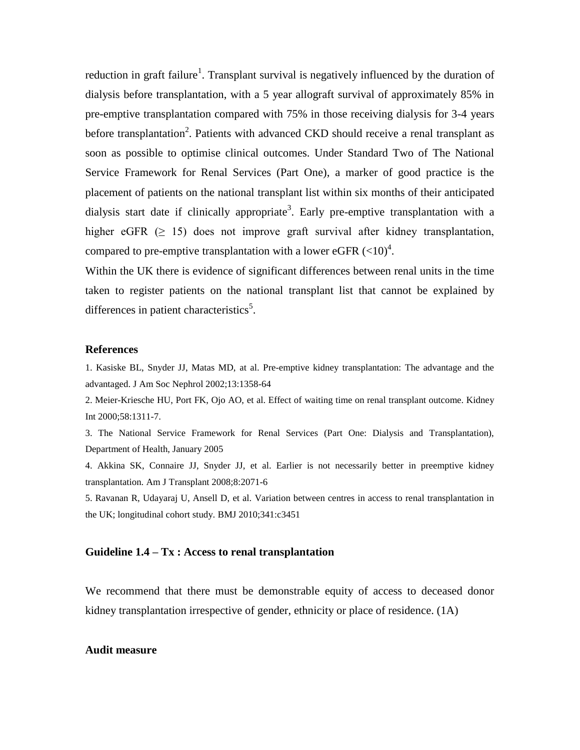reduction in graft failure<sup>1</sup>. Transplant survival is negatively influenced by the duration of dialysis before transplantation, with a 5 year allograft survival of approximately 85% in pre-emptive transplantation compared with 75% in those receiving dialysis for 3-4 years before transplantation<sup>2</sup>. Patients with advanced CKD should receive a renal transplant as soon as possible to optimise clinical outcomes. Under Standard Two of The National Service Framework for Renal Services (Part One), a marker of good practice is the placement of patients on the national transplant list within six months of their anticipated dialysis start date if clinically appropriate<sup>3</sup>. Early pre-emptive transplantation with a higher eGFR  $(> 15)$  does not improve graft survival after kidney transplantation, compared to pre-emptive transplantation with a lower eGFR  $(<10)^4$ .

Within the UK there is evidence of significant differences between renal units in the time taken to register patients on the national transplant list that cannot be explained by differences in patient characteristics<sup>5</sup>.

#### **References**

1. Kasiske BL, Snyder JJ, Matas MD, at al. Pre-emptive kidney transplantation: The advantage and the advantaged. J Am Soc Nephrol 2002;13:1358-64

2. Meier-Kriesche HU, Port FK, Ojo AO, et al. Effect of waiting time on renal transplant outcome. Kidney Int 2000;58:1311-7.

3. The National Service Framework for Renal Services (Part One: Dialysis and Transplantation), Department of Health, January 2005

4. Akkina SK, Connaire JJ, Snyder JJ, et al. Earlier is not necessarily better in preemptive kidney transplantation. Am J Transplant 2008;8:2071-6

5. Ravanan R, Udayaraj U, Ansell D, et al. Variation between centres in access to renal transplantation in the UK; longitudinal cohort study. BMJ 2010;341:c3451

#### **Guideline 1.4 – Tx : Access to renal transplantation**

We recommend that there must be demonstrable equity of access to deceased donor kidney transplantation irrespective of gender, ethnicity or place of residence. (1A)

#### **Audit measure**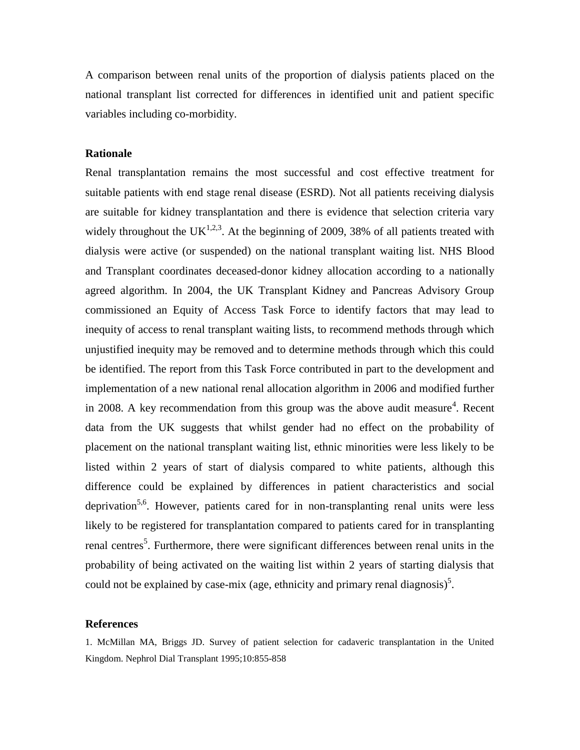A comparison between renal units of the proportion of dialysis patients placed on the national transplant list corrected for differences in identified unit and patient specific variables including co-morbidity.

#### **Rationale**

Renal transplantation remains the most successful and cost effective treatment for suitable patients with end stage renal disease (ESRD). Not all patients receiving dialysis are suitable for kidney transplantation and there is evidence that selection criteria vary widely throughout the UK<sup>1,2,3</sup>. At the beginning of 2009, 38% of all patients treated with dialysis were active (or suspended) on the national transplant waiting list. NHS Blood and Transplant coordinates deceased-donor kidney allocation according to a nationally agreed algorithm. In 2004, the UK Transplant Kidney and Pancreas Advisory Group commissioned an Equity of Access Task Force to identify factors that may lead to inequity of access to renal transplant waiting lists, to recommend methods through which unjustified inequity may be removed and to determine methods through which this could be identified. The report from this Task Force contributed in part to the development and implementation of a new national renal allocation algorithm in 2006 and modified further in 2008. A key recommendation from this group was the above audit measure<sup>4</sup>. Recent data from the UK suggests that whilst gender had no effect on the probability of placement on the national transplant waiting list, ethnic minorities were less likely to be listed within 2 years of start of dialysis compared to white patients, although this difference could be explained by differences in patient characteristics and social deprivation<sup>5,6</sup>. However, patients cared for in non-transplanting renal units were less likely to be registered for transplantation compared to patients cared for in transplanting renal centres<sup>5</sup>. Furthermore, there were significant differences between renal units in the probability of being activated on the waiting list within 2 years of starting dialysis that could not be explained by case-mix (age, ethnicity and primary renal diagnosis)<sup>5</sup>.

#### **References**

1. McMillan MA, Briggs JD. Survey of patient selection for cadaveric transplantation in the United Kingdom. Nephrol Dial Transplant 1995;10:855-858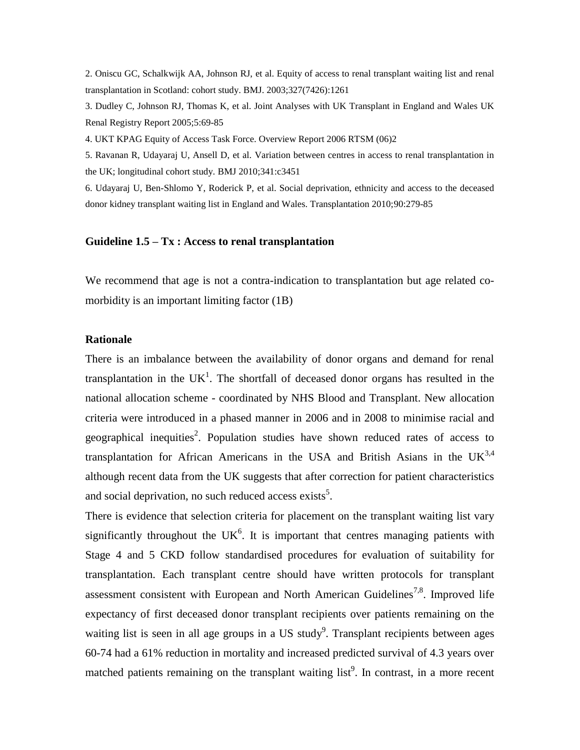2. Oniscu GC, Schalkwijk AA, Johnson RJ, et al. Equity of access to renal transplant waiting list and renal transplantation in Scotland: cohort study. BMJ. 2003;327(7426):1261

3. Dudley C, Johnson RJ, Thomas K, et al. Joint Analyses with UK Transplant in England and Wales UK Renal Registry Report 2005;5:69-85

4. UKT KPAG Equity of Access Task Force. Overview Report 2006 RTSM (06)2

5. Ravanan R, Udayaraj U, Ansell D, et al. Variation between centres in access to renal transplantation in the UK; longitudinal cohort study. BMJ 2010;341:c3451

6. Udayaraj U, Ben-Shlomo Y, Roderick P, et al. Social deprivation, ethnicity and access to the deceased donor kidney transplant waiting list in England and Wales. Transplantation 2010;90:279-85

#### **Guideline 1.5 – Tx : Access to renal transplantation**

We recommend that age is not a contra-indication to transplantation but age related comorbidity is an important limiting factor (1B)

#### **Rationale**

There is an imbalance between the availability of donor organs and demand for renal transplantation in the UK<sup>1</sup>. The shortfall of deceased donor organs has resulted in the national allocation scheme - coordinated by NHS Blood and Transplant. New allocation criteria were introduced in a phased manner in 2006 and in 2008 to minimise racial and geographical inequities<sup>2</sup>. Population studies have shown reduced rates of access to transplantation for African Americans in the USA and British Asians in the  $UK^{3,4}$ although recent data from the UK suggests that after correction for patient characteristics and social deprivation, no such reduced access exists<sup>5</sup>.

There is evidence that selection criteria for placement on the transplant waiting list vary significantly throughout the  $UK<sup>6</sup>$ . It is important that centres managing patients with Stage 4 and 5 CKD follow standardised procedures for evaluation of suitability for transplantation. Each transplant centre should have written protocols for transplant assessment consistent with European and North American Guidelines<sup>7,8</sup>. Improved life expectancy of first deceased donor transplant recipients over patients remaining on the waiting list is seen in all age groups in a US study<sup>9</sup>. Transplant recipients between ages 60-74 had a 61% reduction in mortality and increased predicted survival of 4.3 years over matched patients remaining on the transplant waiting  $list^9$ . In contrast, in a more recent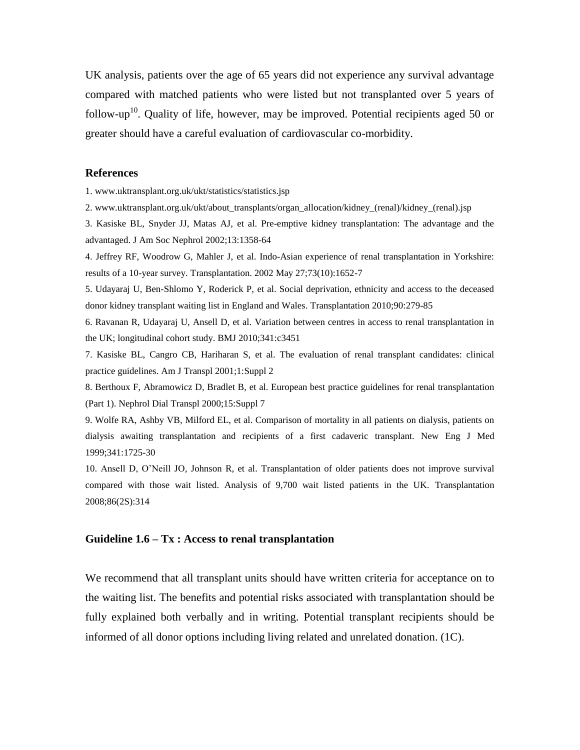UK analysis, patients over the age of 65 years did not experience any survival advantage compared with matched patients who were listed but not transplanted over 5 years of follow-up<sup>10</sup>. Quality of life, however, may be improved. Potential recipients aged 50 or greater should have a careful evaluation of cardiovascular co-morbidity.

#### **References**

1. www.uktransplant.org.uk/ukt/statistics/statistics.jsp

2. www.uktransplant.org.uk/ukt/about\_transplants/organ\_allocation/kidney\_(renal)/kidney\_(renal).jsp

3. Kasiske BL, Snyder JJ, Matas AJ, et al. Pre-emptive kidney transplantation: The advantage and the advantaged. J Am Soc Nephrol 2002;13:1358-64

4. Jeffrey RF, Woodrow G, Mahler J, et al. Indo-Asian experience of renal transplantation in Yorkshire: results of a 10-year survey. Transplantation. 2002 May 27;73(10):1652-7

5. Udayaraj U, Ben-Shlomo Y, Roderick P, et al. Social deprivation, ethnicity and access to the deceased donor kidney transplant waiting list in England and Wales. Transplantation 2010;90:279-85

6. Ravanan R, Udayaraj U, Ansell D, et al. Variation between centres in access to renal transplantation in the UK; longitudinal cohort study. BMJ 2010;341:c3451

7. Kasiske BL, Cangro CB, Hariharan S, et al. The evaluation of renal transplant candidates: clinical practice guidelines. Am J Transpl 2001;1:Suppl 2

8. Berthoux F, Abramowicz D, Bradlet B, et al. European best practice guidelines for renal transplantation (Part 1). Nephrol Dial Transpl 2000;15:Suppl 7

9. Wolfe RA, Ashby VB, Milford EL, et al. Comparison of mortality in all patients on dialysis, patients on dialysis awaiting transplantation and recipients of a first cadaveric transplant. New Eng J Med 1999;341:1725-30

10. Ansell D, O'Neill JO, Johnson R, et al. Transplantation of older patients does not improve survival compared with those wait listed. Analysis of 9,700 wait listed patients in the UK. Transplantation 2008;86(2S):314

#### **Guideline 1.6 – Tx : Access to renal transplantation**

We recommend that all transplant units should have written criteria for acceptance on to the waiting list. The benefits and potential risks associated with transplantation should be fully explained both verbally and in writing. Potential transplant recipients should be informed of all donor options including living related and unrelated donation. (1C).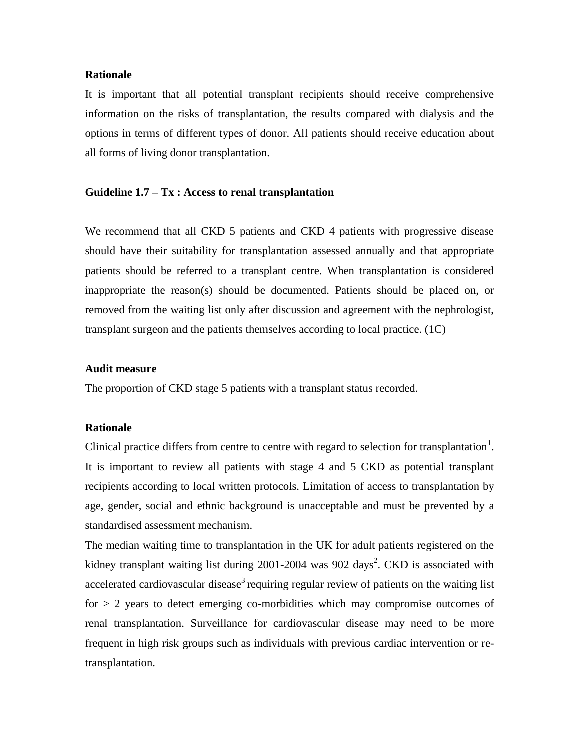#### **Rationale**

It is important that all potential transplant recipients should receive comprehensive information on the risks of transplantation, the results compared with dialysis and the options in terms of different types of donor. All patients should receive education about all forms of living donor transplantation.

### **Guideline 1.7 – Tx : Access to renal transplantation**

We recommend that all CKD 5 patients and CKD 4 patients with progressive disease should have their suitability for transplantation assessed annually and that appropriate patients should be referred to a transplant centre. When transplantation is considered inappropriate the reason(s) should be documented. Patients should be placed on, or removed from the waiting list only after discussion and agreement with the nephrologist, transplant surgeon and the patients themselves according to local practice. (1C)

### **Audit measure**

The proportion of CKD stage 5 patients with a transplant status recorded.

#### **Rationale**

Clinical practice differs from centre to centre with regard to selection for transplantation<sup>1</sup>. It is important to review all patients with stage 4 and 5 CKD as potential transplant recipients according to local written protocols. Limitation of access to transplantation by age, gender, social and ethnic background is unacceptable and must be prevented by a standardised assessment mechanism.

The median waiting time to transplantation in the UK for adult patients registered on the kidney transplant waiting list during  $2001-2004$  was  $902$  days<sup>2</sup>. CKD is associated with accelerated cardiovascular disease<sup>3</sup> requiring regular review of patients on the waiting list for  $> 2$  years to detect emerging co-morbidities which may compromise outcomes of renal transplantation. Surveillance for cardiovascular disease may need to be more frequent in high risk groups such as individuals with previous cardiac intervention or retransplantation.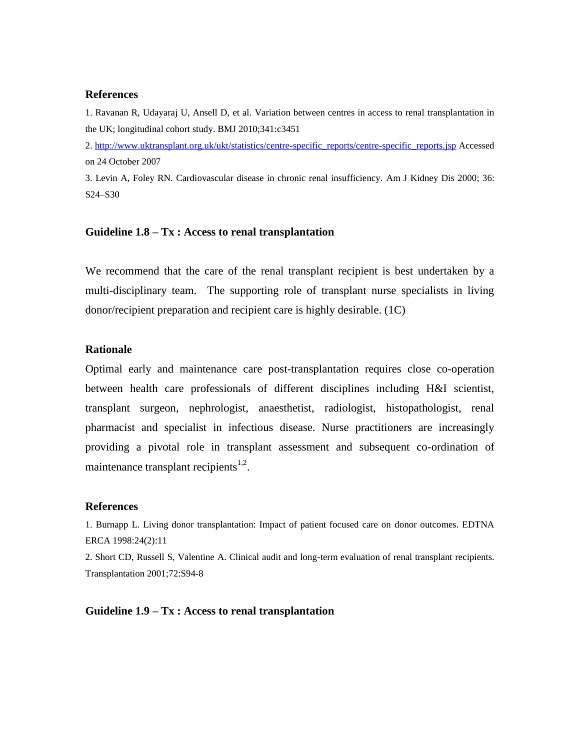#### **References**

1. Ravanan R, Udayaraj U, Ansell D, et al. Variation between centres in access to renal transplantation in the UK; longitudinal cohort study. BMJ 2010;341:c3451

2. [http://www.uktransplant.org.uk/ukt/statistics/centre-specific\\_reports/centre-specific\\_reports.jsp](http://www.uktransplant.org.uk/ukt/statistics/centre-specific_reports/centre-specific_reports.jsp) Accessed on 24 October 2007

3. Levin A, Foley RN. Cardiovascular disease in chronic renal insufficiency. Am J Kidney Dis 2000; 36: S24–S30

#### **Guideline 1.8 – Tx : Access to renal transplantation**

We recommend that the care of the renal transplant recipient is best undertaken by a multi-disciplinary team. The supporting role of transplant nurse specialists in living donor/recipient preparation and recipient care is highly desirable. (1C)

#### **Rationale**

Optimal early and maintenance care post-transplantation requires close co-operation between health care professionals of different disciplines including H&I scientist, transplant surgeon, nephrologist, anaesthetist, radiologist, histopathologist, renal pharmacist and specialist in infectious disease. Nurse practitioners are increasingly providing a pivotal role in transplant assessment and subsequent co-ordination of maintenance transplant recipients $1,2$ .

#### **References**

1. Burnapp L. Living donor transplantation: Impact of patient focused care on donor outcomes. EDTNA ERCA 1998:24(2):11

2. Short CD, Russell S, Valentine A. Clinical audit and long-term evaluation of renal transplant recipients. Transplantation 2001;72:S94-8

**Guideline 1.9 – Tx : Access to renal transplantation**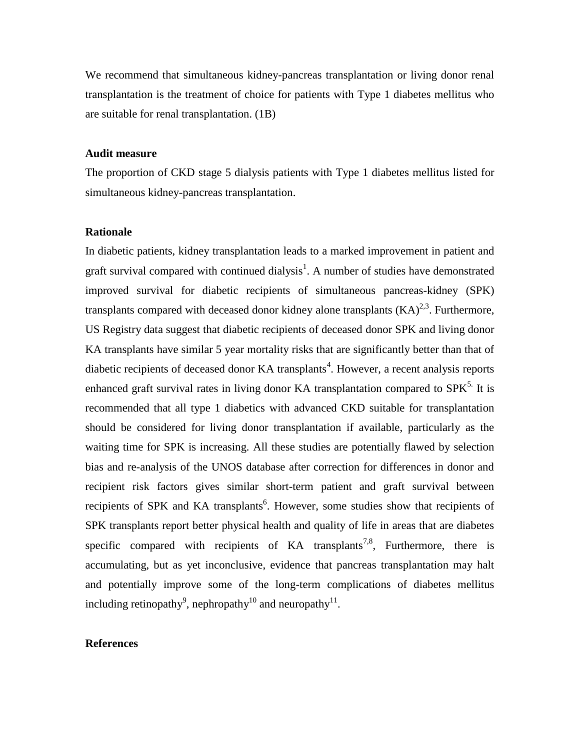We recommend that simultaneous kidney-pancreas transplantation or living donor renal transplantation is the treatment of choice for patients with Type 1 diabetes mellitus who are suitable for renal transplantation. (1B)

#### **Audit measure**

The proportion of CKD stage 5 dialysis patients with Type 1 diabetes mellitus listed for simultaneous kidney-pancreas transplantation.

#### **Rationale**

In diabetic patients, kidney transplantation leads to a marked improvement in patient and graft survival compared with continued dialysis<sup>1</sup>. A number of studies have demonstrated improved survival for diabetic recipients of simultaneous pancreas-kidney (SPK) transplants compared with deceased donor kidney alone transplants  $(KA)^{2,3}$ . Furthermore, US Registry data suggest that diabetic recipients of deceased donor SPK and living donor KA transplants have similar 5 year mortality risks that are significantly better than that of diabetic recipients of deceased donor  $KA$  transplants<sup>4</sup>. However, a recent analysis reports enhanced graft survival rates in living donor KA transplantation compared to  $SPK<sup>5</sup>$ . It is recommended that all type 1 diabetics with advanced CKD suitable for transplantation should be considered for living donor transplantation if available, particularly as the waiting time for SPK is increasing. All these studies are potentially flawed by selection bias and re-analysis of the UNOS database after correction for differences in donor and recipient risk factors gives similar short-term patient and graft survival between recipients of SPK and KA transplants<sup>6</sup>. However, some studies show that recipients of SPK transplants report better physical health and quality of life in areas that are diabetes specific compared with recipients of  $KA$  transplants<sup>7,8</sup>, Furthermore, there is accumulating, but as yet inconclusive, evidence that pancreas transplantation may halt and potentially improve some of the long-term complications of diabetes mellitus including retinopathy<sup>9</sup>, nephropathy<sup>10</sup> and neuropathy<sup>11</sup>.

## **References**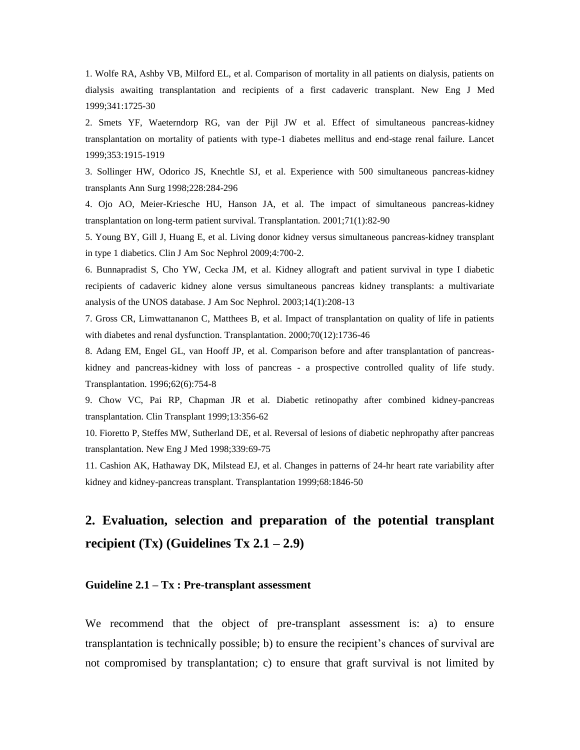1. Wolfe RA, Ashby VB, Milford EL, et al. Comparison of mortality in all patients on dialysis, patients on dialysis awaiting transplantation and recipients of a first cadaveric transplant. New Eng J Med 1999;341:1725-30

2. Smets YF, Waeterndorp RG, van der Pijl JW et al. Effect of simultaneous pancreas-kidney transplantation on mortality of patients with type-1 diabetes mellitus and end-stage renal failure. Lancet 1999;353:1915-1919

3. Sollinger HW, Odorico JS, Knechtle SJ, et al. Experience with 500 simultaneous pancreas-kidney transplants Ann Surg 1998;228:284-296

4. Ojo AO, Meier-Kriesche HU, Hanson JA, et al. The impact of simultaneous pancreas-kidney transplantation on long-term patient survival. Transplantation. 2001;71(1):82-90

5. Young BY, Gill J, Huang E, et al. Living donor kidney versus simultaneous pancreas-kidney transplant in type 1 diabetics. Clin J Am Soc Nephrol 2009;4:700-2.

6. Bunnapradist S, Cho YW, Cecka JM, et al. Kidney allograft and patient survival in type I diabetic recipients of cadaveric kidney alone versus simultaneous pancreas kidney transplants: a multivariate analysis of the UNOS database. J Am Soc Nephrol. 2003;14(1):208-13

7. Gross CR, Limwattananon C, Matthees B, et al. Impact of transplantation on quality of life in patients with diabetes and renal dysfunction. Transplantation. 2000;70(12):1736-46

8. Adang EM, Engel GL, van Hooff JP, et al. Comparison before and after transplantation of pancreaskidney and pancreas-kidney with loss of pancreas - a prospective controlled quality of life study. Transplantation. 1996;62(6):754-8

9. Chow VC, Pai RP, Chapman JR et al. Diabetic retinopathy after combined kidney-pancreas transplantation. Clin Transplant 1999;13:356-62

10. Fioretto P, Steffes MW, Sutherland DE, et al. Reversal of lesions of diabetic nephropathy after pancreas transplantation. New Eng J Med 1998;339:69-75

11. Cashion AK, Hathaway DK, Milstead EJ, et al. Changes in patterns of 24-hr heart rate variability after kidney and kidney-pancreas transplant. Transplantation 1999;68:1846-50

# **2. Evaluation, selection and preparation of the potential transplant recipient (Tx) (Guidelines Tx 2.1 – 2.9)**

#### **Guideline 2.1 – Tx : Pre-transplant assessment**

We recommend that the object of pre-transplant assessment is: a) to ensure transplantation is technically possible; b) to ensure the recipient's chances of survival are not compromised by transplantation; c) to ensure that graft survival is not limited by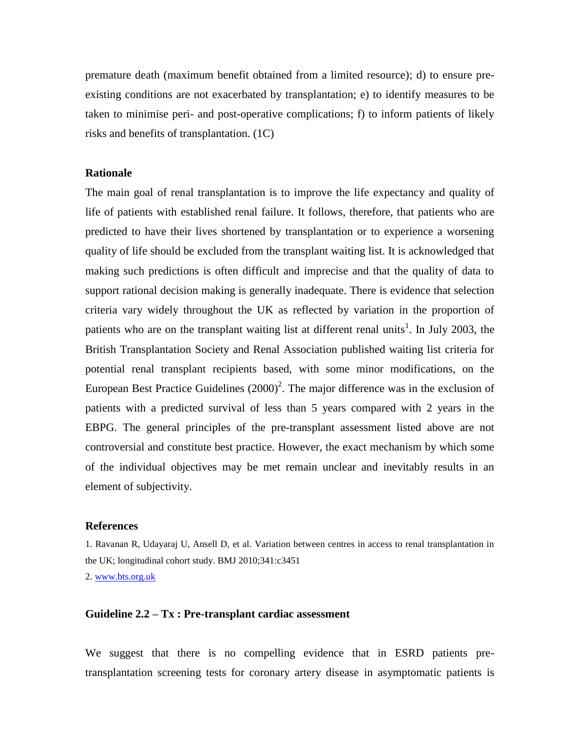premature death (maximum benefit obtained from a limited resource); d) to ensure preexisting conditions are not exacerbated by transplantation; e) to identify measures to be taken to minimise peri- and post-operative complications; f) to inform patients of likely risks and benefits of transplantation. (1C)

#### **Rationale**

The main goal of renal transplantation is to improve the life expectancy and quality of life of patients with established renal failure. It follows, therefore, that patients who are predicted to have their lives shortened by transplantation or to experience a worsening quality of life should be excluded from the transplant waiting list. It is acknowledged that making such predictions is often difficult and imprecise and that the quality of data to support rational decision making is generally inadequate. There is evidence that selection criteria vary widely throughout the UK as reflected by variation in the proportion of patients who are on the transplant waiting list at different renal units<sup>1</sup>. In July 2003, the British Transplantation Society and Renal Association published waiting list criteria for potential renal transplant recipients based, with some minor modifications, on the European Best Practice Guidelines  $(2000)^2$ . The major difference was in the exclusion of patients with a predicted survival of less than 5 years compared with 2 years in the EBPG. The general principles of the pre-transplant assessment listed above are not controversial and constitute best practice. However, the exact mechanism by which some of the individual objectives may be met remain unclear and inevitably results in an element of subjectivity.

#### **References**

1. Ravanan R, Udayaraj U, Ansell D, et al. Variation between centres in access to renal transplantation in the UK; longitudinal cohort study. BMJ 2010;341:c3451

2. [www.bts.org.uk](http://www.bts.org.uk/)

### **Guideline 2.2 – Tx : Pre-transplant cardiac assessment**

We suggest that there is no compelling evidence that in ESRD patients pretransplantation screening tests for coronary artery disease in asymptomatic patients is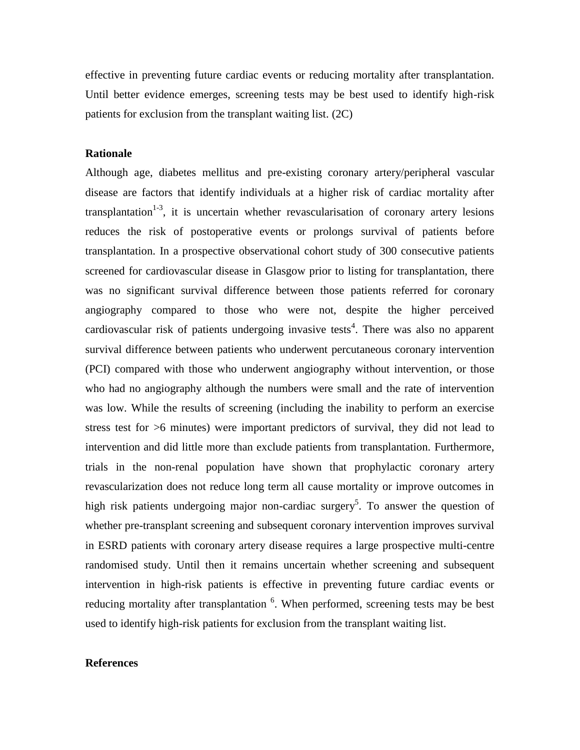effective in preventing future cardiac events or reducing mortality after transplantation. Until better evidence emerges, screening tests may be best used to identify high-risk patients for exclusion from the transplant waiting list. (2C)

#### **Rationale**

Although age, diabetes mellitus and pre-existing coronary artery/peripheral vascular disease are factors that identify individuals at a higher risk of cardiac mortality after transplantation<sup>1-3</sup>, it is uncertain whether revascularisation of coronary artery lesions reduces the risk of postoperative events or prolongs survival of patients before transplantation. In a prospective observational cohort study of 300 consecutive patients screened for cardiovascular disease in Glasgow prior to listing for transplantation, there was no significant survival difference between those patients referred for coronary angiography compared to those who were not, despite the higher perceived cardiovascular risk of patients undergoing invasive tests<sup>4</sup>. There was also no apparent survival difference between patients who underwent percutaneous coronary intervention (PCI) compared with those who underwent angiography without intervention, or those who had no angiography although the numbers were small and the rate of intervention was low. While the results of screening (including the inability to perform an exercise stress test for >6 minutes) were important predictors of survival, they did not lead to intervention and did little more than exclude patients from transplantation. Furthermore, trials in the non-renal population have shown that prophylactic coronary artery revascularization does not reduce long term all cause mortality or improve outcomes in high risk patients undergoing major non-cardiac surgery<sup>5</sup>. To answer the question of whether pre-transplant screening and subsequent coronary intervention improves survival in ESRD patients with coronary artery disease requires a large prospective multi-centre randomised study. Until then it remains uncertain whether screening and subsequent intervention in high-risk patients is effective in preventing future cardiac events or reducing mortality after transplantation <sup>6</sup>. When performed, screening tests may be best used to identify high-risk patients for exclusion from the transplant waiting list.

## **References**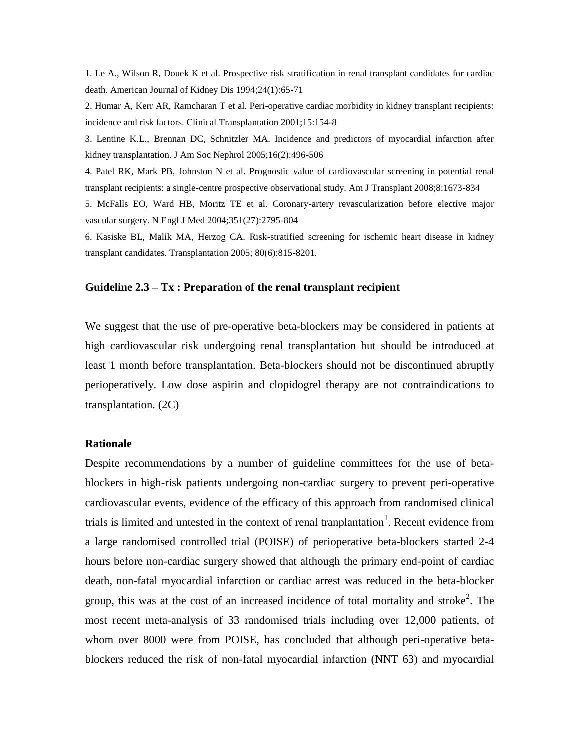1. Le A., Wilson R, Douek K et al. Prospective risk stratification in renal transplant candidates for cardiac death. American Journal of Kidney Dis 1994;24(1):65-71

2. Humar A, Kerr AR, Ramcharan T et al. Peri-operative cardiac morbidity in kidney transplant recipients: incidence and risk factors. Clinical Transplantation 2001;15:154-8

3. Lentine K.L., Brennan DC, Schnitzler MA. Incidence and predictors of myocardial infarction after kidney transplantation. J Am Soc Nephrol 2005;16(2):496-506

4. Patel RK, Mark PB, Johnston N et al. Prognostic value of cardiovascular screening in potential renal transplant recipients: a single-centre prospective observational study. Am J Transplant 2008;8:1673-834

5. McFalls EO, Ward HB, Moritz TE et al. Coronary-artery revascularization before elective major vascular surgery. N Engl J Med 2004;351(27):2795-804

6. Kasiske BL, Malik MA, Herzog CA. Risk-stratified screening for ischemic heart disease in kidney transplant candidates. Transplantation 2005; 80(6):815-8201.

#### **Guideline 2.3 – Tx : Preparation of the renal transplant recipient**

We suggest that the use of pre-operative beta-blockers may be considered in patients at high cardiovascular risk undergoing renal transplantation but should be introduced at least 1 month before transplantation. Beta-blockers should not be discontinued abruptly perioperatively. Low dose aspirin and clopidogrel therapy are not contraindications to transplantation. (2C)

#### **Rationale**

Despite recommendations by a number of guideline committees for the use of betablockers in high-risk patients undergoing non-cardiac surgery to prevent peri-operative cardiovascular events, evidence of the efficacy of this approach from randomised clinical trials is limited and untested in the context of renal tranplantation<sup>1</sup>. Recent evidence from a large randomised controlled trial (POISE) of perioperative beta-blockers started 2-4 hours before non-cardiac surgery showed that although the primary end-point of cardiac death, non-fatal myocardial infarction or cardiac arrest was reduced in the beta-blocker group, this was at the cost of an increased incidence of total mortality and stroke<sup>2</sup>. The most recent meta-analysis of 33 randomised trials including over 12,000 patients, of whom over 8000 were from POISE, has concluded that although peri-operative betablockers reduced the risk of non-fatal myocardial infarction (NNT 63) and myocardial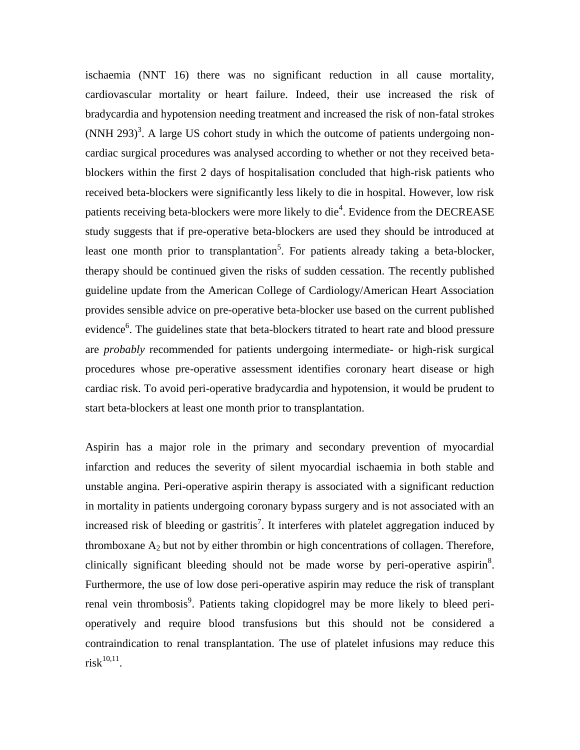ischaemia (NNT 16) there was no significant reduction in all cause mortality, cardiovascular mortality or heart failure. Indeed, their use increased the risk of bradycardia and hypotension needing treatment and increased the risk of non-fatal strokes  $(NNH 293)^3$ . A large US cohort study in which the outcome of patients undergoing noncardiac surgical procedures was analysed according to whether or not they received betablockers within the first 2 days of hospitalisation concluded that high-risk patients who received beta-blockers were significantly less likely to die in hospital. However, low risk patients receiving beta-blockers were more likely to die<sup>4</sup>. Evidence from the DECREASE study suggests that if pre-operative beta-blockers are used they should be introduced at least one month prior to transplantation<sup>5</sup>. For patients already taking a beta-blocker, therapy should be continued given the risks of sudden cessation. The recently published guideline update from the American College of Cardiology/American Heart Association provides sensible advice on pre-operative beta-blocker use based on the current published evidence<sup>6</sup>. The guidelines state that beta-blockers titrated to heart rate and blood pressure are *probably* recommended for patients undergoing intermediate- or high-risk surgical procedures whose pre-operative assessment identifies coronary heart disease or high cardiac risk. To avoid peri-operative bradycardia and hypotension, it would be prudent to start beta-blockers at least one month prior to transplantation.

Aspirin has a major role in the primary and secondary prevention of myocardial infarction and reduces the severity of silent myocardial ischaemia in both stable and unstable angina. Peri-operative aspirin therapy is associated with a significant reduction in mortality in patients undergoing coronary bypass surgery and is not associated with an increased risk of bleeding or gastritis<sup>7</sup>. It interferes with platelet aggregation induced by thromboxane  $A_2$  but not by either thrombin or high concentrations of collagen. Therefore, clinically significant bleeding should not be made worse by peri-operative aspirin<sup>8</sup>. Furthermore, the use of low dose peri-operative aspirin may reduce the risk of transplant renal vein thrombosis<sup>9</sup>. Patients taking clopidogrel may be more likely to bleed perioperatively and require blood transfusions but this should not be considered a contraindication to renal transplantation. The use of platelet infusions may reduce this  $\text{risk}^{10,11}.$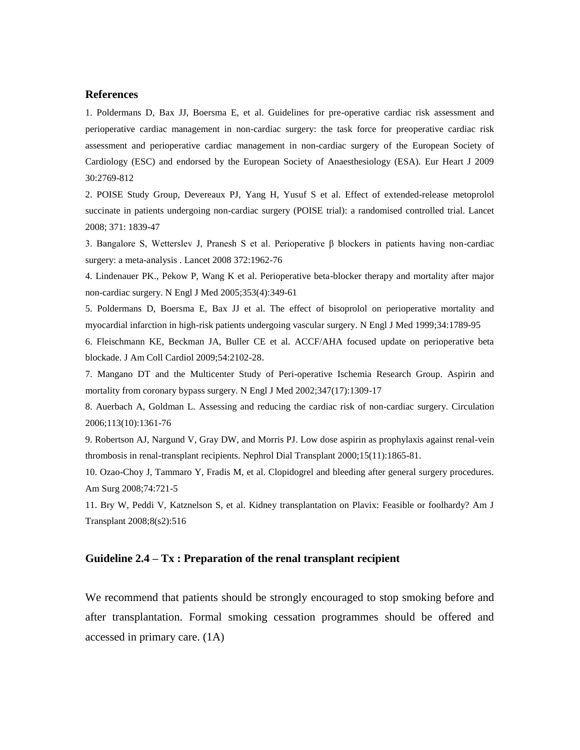#### **References**

1. Poldermans D, Bax JJ, Boersma E, et al. Guidelines for pre-operative cardiac risk assessment and perioperative cardiac management in non-cardiac surgery: the task force for preoperative cardiac risk assessment and perioperative cardiac management in non-cardiac surgery of the European Society of Cardiology (ESC) and endorsed by the European Society of Anaesthesiology (ESA). Eur Heart J 2009 30:2769-812

2. POISE Study Group, Devereaux PJ, Yang H, Yusuf S et al. Effect of extended-release metoprolol succinate in patients undergoing non-cardiac surgery (POISE trial): a randomised controlled trial. Lancet 2008; 371: 1839-47

3. Bangalore S, Wetterslev J, Pranesh S et al. Perioperative β blockers in patients having non-cardiac surgery: a meta-analysis . Lancet 2008 372:1962-76

4. Lindenauer PK., Pekow P, Wang K et al. Perioperative beta-blocker therapy and mortality after major non-cardiac surgery. N Engl J Med 2005;353(4):349-61

5. Poldermans D, Boersma E, Bax JJ et al. The effect of bisoprolol on perioperative mortality and myocardial infarction in high-risk patients undergoing vascular surgery. N Engl J Med 1999;34:1789-95

6. Fleischmann KE, Beckman JA, Buller CE et al. ACCF/AHA focused update on perioperative beta blockade. J Am Coll Cardiol 2009;54:2102-28.

7. Mangano DT and the Multicenter Study of Peri-operative Ischemia Research Group. Aspirin and mortality from coronary bypass surgery. N Engl J Med 2002;347(17):1309-17

8. Auerbach A, Goldman L. Assessing and reducing the cardiac risk of non-cardiac surgery. Circulation 2006;113(10):1361-76

9. Robertson AJ, Nargund V, Gray DW, and Morris PJ. Low dose aspirin as prophylaxis against renal-vein thrombosis in renal-transplant recipients. Nephrol Dial Transplant 2000;15(11):1865-81.

10. Ozao-Choy J, Tammaro Y, Fradis M, et al. Clopidogrel and bleeding after general surgery procedures. Am Surg 2008;74:721-5

11. Bry W, Peddi V, Katznelson S, et al. Kidney transplantation on Plavix: Feasible or foolhardy? Am J Transplant 2008;8(s2):516

#### **Guideline 2.4 – Tx : Preparation of the renal transplant recipient**

We recommend that patients should be strongly encouraged to stop smoking before and after transplantation. Formal smoking cessation programmes should be offered and accessed in primary care. (1A)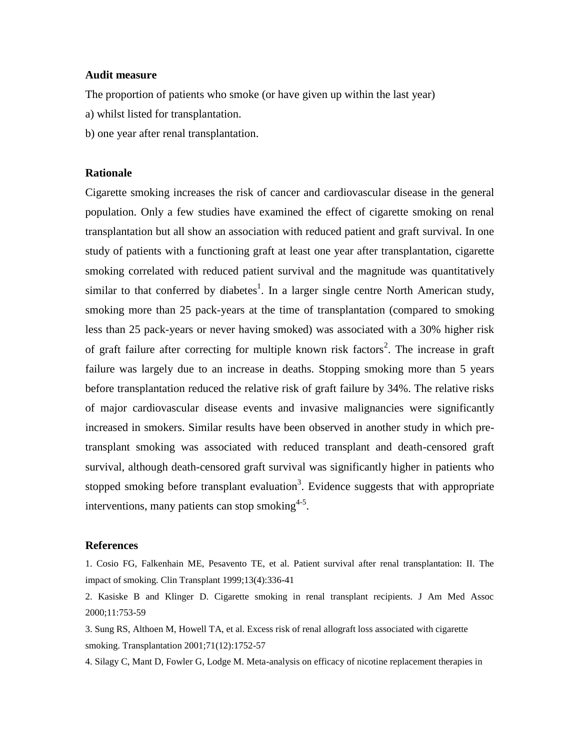#### **Audit measure**

The proportion of patients who smoke (or have given up within the last year)

- a) whilst listed for transplantation.
- b) one year after renal transplantation.

#### **Rationale**

Cigarette smoking increases the risk of cancer and cardiovascular disease in the general population. Only a few studies have examined the effect of cigarette smoking on renal transplantation but all show an association with reduced patient and graft survival. In one study of patients with a functioning graft at least one year after transplantation, cigarette smoking correlated with reduced patient survival and the magnitude was quantitatively similar to that conferred by diabetes<sup>1</sup>. In a larger single centre North American study, smoking more than 25 pack-years at the time of transplantation (compared to smoking less than 25 pack-years or never having smoked) was associated with a 30% higher risk of graft failure after correcting for multiple known risk factors<sup>2</sup>. The increase in graft failure was largely due to an increase in deaths. Stopping smoking more than 5 years before transplantation reduced the relative risk of graft failure by 34%. The relative risks of major cardiovascular disease events and invasive malignancies were significantly increased in smokers. Similar results have been observed in another study in which pretransplant smoking was associated with reduced transplant and death-censored graft survival, although death-censored graft survival was significantly higher in patients who stopped smoking before transplant evaluation<sup>3</sup>. Evidence suggests that with appropriate interventions, many patients can stop smoking $4-5$ .

#### **References**

1. Cosio FG, Falkenhain ME, Pesavento TE, et al. Patient survival after renal transplantation: II. The impact of smoking. Clin Transplant 1999;13(4):336-41

2. Kasiske B and Klinger D. Cigarette smoking in renal transplant recipients. J Am Med Assoc 2000;11:753-59

3. Sung RS, Althoen M, Howell TA, et al. Excess risk of renal allograft loss associated with cigarette smoking. Transplantation 2001;71(12):1752-57

4. Silagy C, Mant D, Fowler G, Lodge M. Meta-analysis on efficacy of nicotine replacement therapies in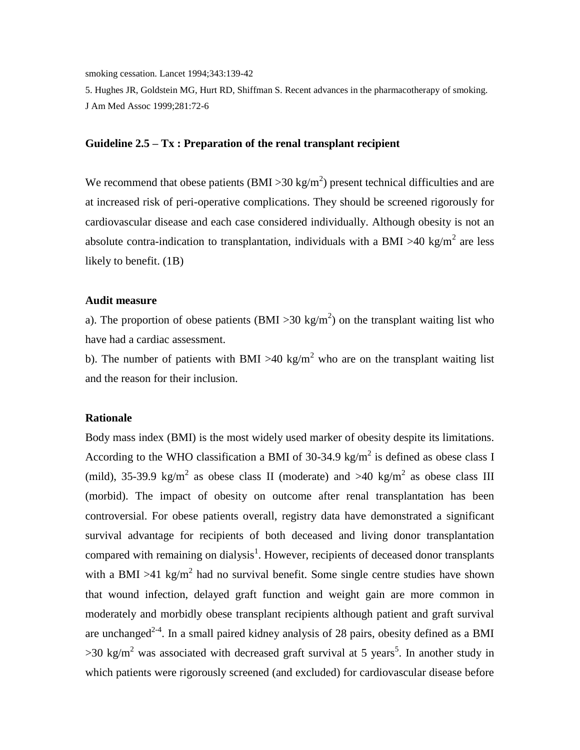smoking cessation. Lancet 1994;343:139-42

5. Hughes JR, Goldstein MG, Hurt RD, Shiffman S. Recent advances in the pharmacotherapy of smoking. J Am Med Assoc 1999;281:72-6

## **Guideline 2.5 – Tx : Preparation of the renal transplant recipient**

We recommend that obese patients (BMI > 30 kg/m<sup>2</sup>) present technical difficulties and are at increased risk of peri-operative complications. They should be screened rigorously for cardiovascular disease and each case considered individually. Although obesity is not an absolute contra-indication to transplantation, individuals with a BMI >40 kg/m<sup>2</sup> are less likely to benefit. (1B)

#### **Audit measure**

a). The proportion of obese patients (BMI > 30 kg/m<sup>2</sup>) on the transplant waiting list who have had a cardiac assessment.

b). The number of patients with BMI >40 kg/m<sup>2</sup> who are on the transplant waiting list and the reason for their inclusion.

#### **Rationale**

Body mass index (BMI) is the most widely used marker of obesity despite its limitations. According to the WHO classification a BMI of 30-34.9 kg/m<sup>2</sup> is defined as obese class I (mild), 35-39.9 kg/m<sup>2</sup> as obese class II (moderate) and >40 kg/m<sup>2</sup> as obese class III (morbid). The impact of obesity on outcome after renal transplantation has been controversial. For obese patients overall, registry data have demonstrated a significant survival advantage for recipients of both deceased and living donor transplantation compared with remaining on dialysis<sup>1</sup>. However, recipients of deceased donor transplants with a BMI >41 kg/m<sup>2</sup> had no survival benefit. Some single centre studies have shown that wound infection, delayed graft function and weight gain are more common in moderately and morbidly obese transplant recipients although patient and graft survival are unchanged<sup>2-4</sup>. In a small paired kidney analysis of 28 pairs, obesity defined as a BMI  $>$ 30 kg/m<sup>2</sup> was associated with decreased graft survival at 5 years<sup>5</sup>. In another study in which patients were rigorously screened (and excluded) for cardiovascular disease before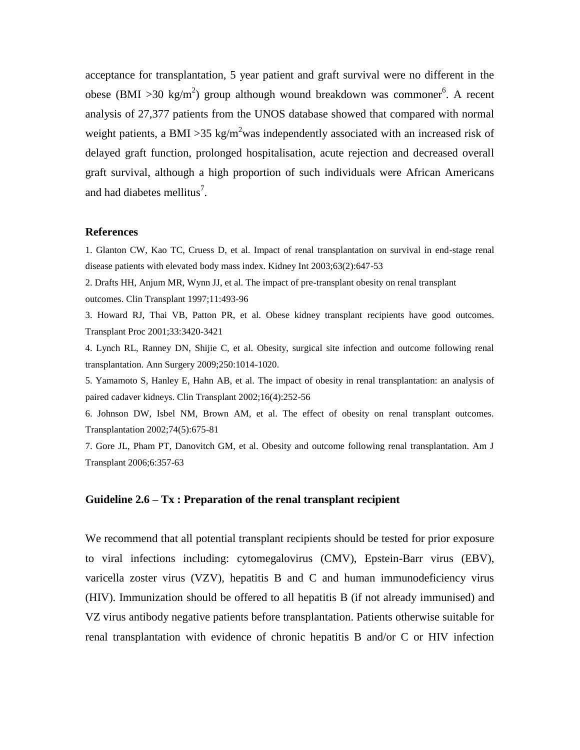acceptance for transplantation, 5 year patient and graft survival were no different in the obese (BMI >30 kg/m<sup>2</sup>) group although wound breakdown was commoner<sup>6</sup>. A recent analysis of 27,377 patients from the UNOS database showed that compared with normal weight patients, a BMI > 35 kg/m<sup>2</sup>was independently associated with an increased risk of delayed graft function, prolonged hospitalisation, acute rejection and decreased overall graft survival, although a high proportion of such individuals were African Americans and had diabetes mellitus<sup>7</sup>.

#### **References**

1. Glanton CW, Kao TC, Cruess D, et al. Impact of renal transplantation on survival in end-stage renal disease patients with elevated body mass index. Kidney Int 2003;63(2):647-53

2. Drafts HH, Anjum MR, Wynn JJ, et al. The impact of pre-transplant obesity on renal transplant outcomes. Clin Transplant 1997;11:493-96

3. Howard RJ, Thai VB, Patton PR, et al. Obese kidney transplant recipients have good outcomes. Transplant Proc 2001;33:3420-3421

4. Lynch RL, Ranney DN, Shijie C, et al. Obesity, surgical site infection and outcome following renal transplantation. Ann Surgery 2009;250:1014-1020.

5. Yamamoto S, Hanley E, Hahn AB, et al. The impact of obesity in renal transplantation: an analysis of paired cadaver kidneys. Clin Transplant 2002;16(4):252-56

6. Johnson DW, Isbel NM, Brown AM, et al. The effect of obesity on renal transplant outcomes. Transplantation 2002;74(5):675-81

7. Gore JL, Pham PT, Danovitch GM, et al. Obesity and outcome following renal transplantation. Am J Transplant 2006;6:357-63

## **Guideline 2.6 – Tx : Preparation of the renal transplant recipient**

We recommend that all potential transplant recipients should be tested for prior exposure to viral infections including: cytomegalovirus (CMV), Epstein-Barr virus (EBV), varicella zoster virus (VZV), hepatitis B and C and human immunodeficiency virus (HIV). Immunization should be offered to all hepatitis B (if not already immunised) and VZ virus antibody negative patients before transplantation. Patients otherwise suitable for renal transplantation with evidence of chronic hepatitis B and/or C or HIV infection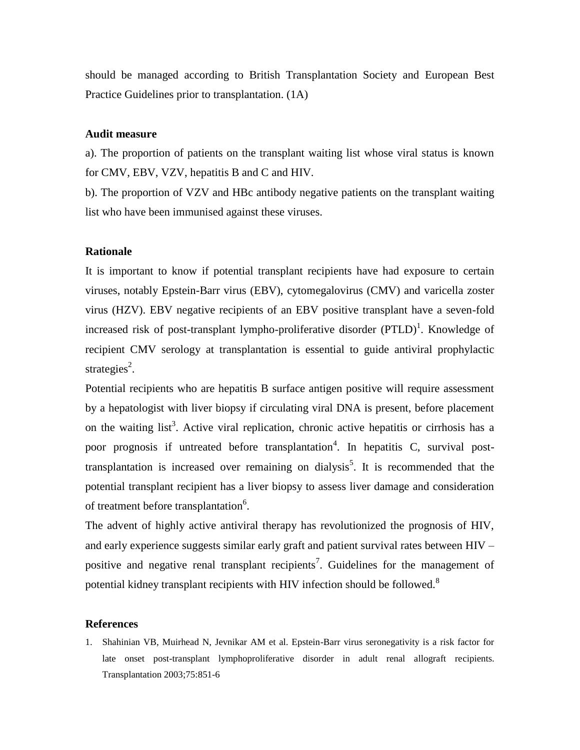should be managed according to British Transplantation Society and European Best Practice Guidelines prior to transplantation. (1A)

#### **Audit measure**

a). The proportion of patients on the transplant waiting list whose viral status is known for CMV, EBV, VZV, hepatitis B and C and HIV.

b). The proportion of VZV and HBc antibody negative patients on the transplant waiting list who have been immunised against these viruses.

#### **Rationale**

It is important to know if potential transplant recipients have had exposure to certain viruses, notably Epstein-Barr virus (EBV), cytomegalovirus (CMV) and varicella zoster virus (HZV). EBV negative recipients of an EBV positive transplant have a seven-fold increased risk of post-transplant lympho-proliferative disorder  $(PTLD)^1$ . Knowledge of recipient CMV serology at transplantation is essential to guide antiviral prophylactic strategies<sup>2</sup>.

Potential recipients who are hepatitis B surface antigen positive will require assessment by a hepatologist with liver biopsy if circulating viral DNA is present, before placement on the waiting list<sup>3</sup>. Active viral replication, chronic active hepatitis or cirrhosis has a poor prognosis if untreated before transplantation<sup>4</sup>. In hepatitis C, survival posttransplantation is increased over remaining on dialysis<sup>5</sup>. It is recommended that the potential transplant recipient has a liver biopsy to assess liver damage and consideration of treatment before transplantation<sup>6</sup>.

The advent of highly active antiviral therapy has revolutionized the prognosis of HIV, and early experience suggests similar early graft and patient survival rates between HIV – positive and negative renal transplant recipients<sup>7</sup>. Guidelines for the management of potential kidney transplant recipients with HIV infection should be followed.<sup>8</sup>

#### **References**

1. Shahinian VB, Muirhead N, Jevnikar AM et al. Epstein-Barr virus seronegativity is a risk factor for late onset post-transplant lymphoproliferative disorder in adult renal allograft recipients. Transplantation 2003;75:851-6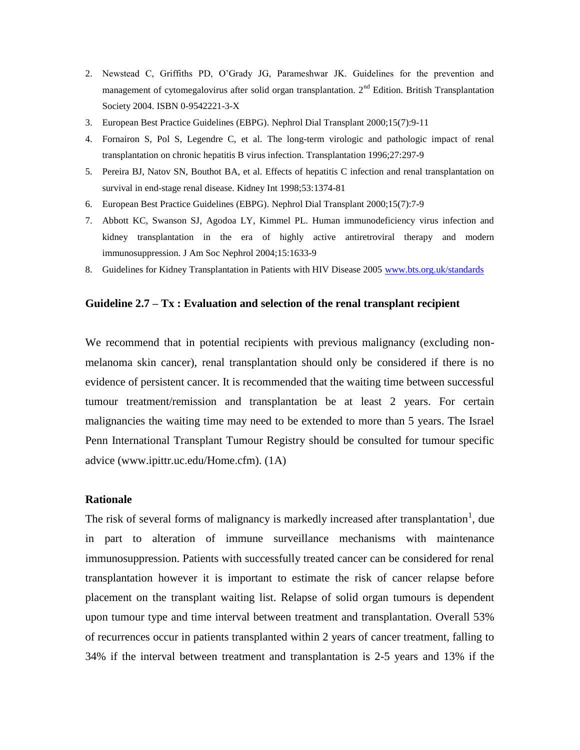- 2. Newstead C, Griffiths PD, O'Grady JG, Parameshwar JK. Guidelines for the prevention and management of cytomegalovirus after solid organ transplantation.  $2<sup>nd</sup>$  Edition. British Transplantation Society 2004. ISBN 0-9542221-3-X
- 3. European Best Practice Guidelines (EBPG). Nephrol Dial Transplant 2000;15(7):9-11
- 4. Fornairon S, Pol S, Legendre C, et al. The long-term virologic and pathologic impact of renal transplantation on chronic hepatitis B virus infection. Transplantation 1996;27:297-9
- 5. Pereira BJ, Natov SN, Bouthot BA, et al. Effects of hepatitis C infection and renal transplantation on survival in end-stage renal disease. Kidney Int 1998;53:1374-81
- 6. European Best Practice Guidelines (EBPG). Nephrol Dial Transplant 2000;15(7):7-9
- 7. Abbott KC, Swanson SJ, Agodoa LY, Kimmel PL. Human immunodeficiency virus infection and kidney transplantation in the era of highly active antiretroviral therapy and modern immunosuppression. J Am Soc Nephrol 2004;15:1633-9
- 8. Guidelines for Kidney Transplantation in Patients with HIV Disease 2005 [www.bts.org.uk/standards](http://www.bts.org.uk/standards)

## **Guideline 2.7 – Tx : Evaluation and selection of the renal transplant recipient**

We recommend that in potential recipients with previous malignancy (excluding nonmelanoma skin cancer), renal transplantation should only be considered if there is no evidence of persistent cancer. It is recommended that the waiting time between successful tumour treatment/remission and transplantation be at least 2 years. For certain malignancies the waiting time may need to be extended to more than 5 years. The Israel Penn International Transplant Tumour Registry should be consulted for tumour specific advice (www.ipittr.uc.edu/Home.cfm). (1A)

#### **Rationale**

The risk of several forms of malignancy is markedly increased after transplantation<sup>1</sup>, due in part to alteration of immune surveillance mechanisms with maintenance immunosuppression. Patients with successfully treated cancer can be considered for renal transplantation however it is important to estimate the risk of cancer relapse before placement on the transplant waiting list. Relapse of solid organ tumours is dependent upon tumour type and time interval between treatment and transplantation. Overall 53% of recurrences occur in patients transplanted within 2 years of cancer treatment, falling to 34% if the interval between treatment and transplantation is 2-5 years and 13% if the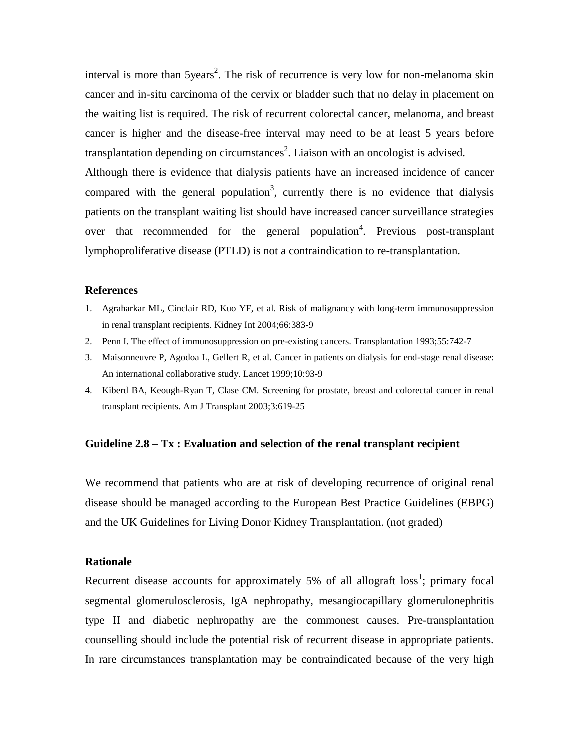interval is more than  $5$ years<sup>2</sup>. The risk of recurrence is very low for non-melanoma skin cancer and in-situ carcinoma of the cervix or bladder such that no delay in placement on the waiting list is required. The risk of recurrent colorectal cancer, melanoma, and breast cancer is higher and the disease-free interval may need to be at least 5 years before transplantation depending on circumstances<sup>2</sup>. Liaison with an oncologist is advised. Although there is evidence that dialysis patients have an increased incidence of cancer

compared with the general population<sup>3</sup>, currently there is no evidence that dialysis patients on the transplant waiting list should have increased cancer surveillance strategies over that recommended for the general population<sup>4</sup>. Previous post-transplant lymphoproliferative disease (PTLD) is not a contraindication to re-transplantation.

#### **References**

- 1. Agraharkar ML, Cinclair RD, Kuo YF, et al. Risk of malignancy with long-term immunosuppression in renal transplant recipients. Kidney Int 2004;66:383-9
- 2. Penn I. The effect of immunosuppression on pre-existing cancers. Transplantation 1993;55:742-7
- 3. Maisonneuvre P, Agodoa L, Gellert R, et al. Cancer in patients on dialysis for end-stage renal disease: An international collaborative study. Lancet 1999;10:93-9
- 4. Kiberd BA, Keough-Ryan T, Clase CM. Screening for prostate, breast and colorectal cancer in renal transplant recipients. Am J Transplant 2003;3:619-25

## **Guideline 2.8 – Tx : Evaluation and selection of the renal transplant recipient**

We recommend that patients who are at risk of developing recurrence of original renal disease should be managed according to the European Best Practice Guidelines (EBPG) and the UK Guidelines for Living Donor Kidney Transplantation. (not graded)

#### **Rationale**

Recurrent disease accounts for approximately 5% of all allograft  $loss<sup>1</sup>$ ; primary focal segmental glomerulosclerosis, IgA nephropathy, mesangiocapillary glomerulonephritis type II and diabetic nephropathy are the commonest causes. Pre-transplantation counselling should include the potential risk of recurrent disease in appropriate patients. In rare circumstances transplantation may be contraindicated because of the very high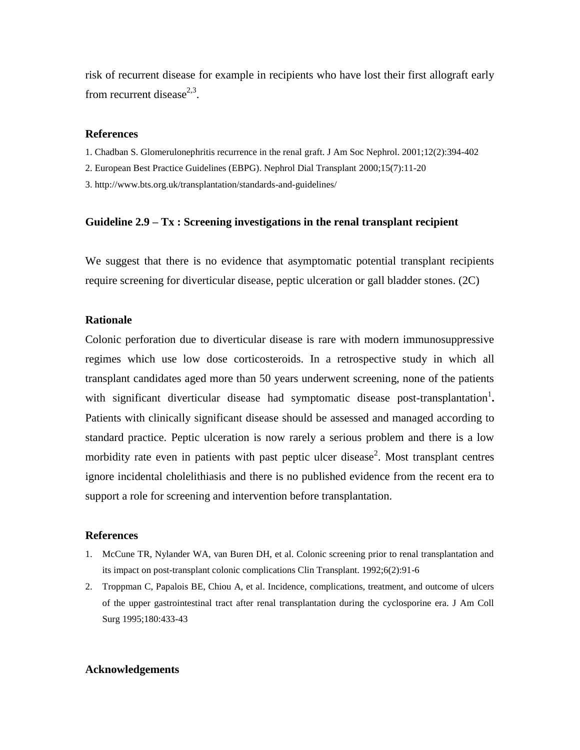risk of recurrent disease for example in recipients who have lost their first allograft early from recurrent disease<sup>2,3</sup>.

#### **References**

1. Chadban S. Glomerulonephritis recurrence in the renal graft. J Am Soc Nephrol. 2001;12(2):394-402

2. European Best Practice Guidelines (EBPG). Nephrol Dial Transplant 2000;15(7):11-20

3. http://www.bts.org.uk/transplantation/standards-and-guidelines/

#### **Guideline 2.9 – Tx : Screening investigations in the renal transplant recipient**

We suggest that there is no evidence that asymptomatic potential transplant recipients require screening for diverticular disease, peptic ulceration or gall bladder stones. (2C)

#### **Rationale**

Colonic perforation due to diverticular disease is rare with modern immunosuppressive regimes which use low dose corticosteroids. In a retrospective study in which all transplant candidates aged more than 50 years underwent screening, none of the patients with significant diverticular disease had symptomatic disease post-transplantation<sup>1</sup>. Patients with clinically significant disease should be assessed and managed according to standard practice. Peptic ulceration is now rarely a serious problem and there is a low morbidity rate even in patients with past peptic ulcer disease<sup>2</sup>. Most transplant centres ignore incidental cholelithiasis and there is no published evidence from the recent era to support a role for screening and intervention before transplantation.

#### **References**

- 1. McCune TR, Nylander WA, van Buren DH, et al. Colonic screening prior to renal transplantation and its impact on post-transplant colonic complications Clin Transplant. 1992;6(2):91-6
- 2. Troppman C, Papalois BE, Chiou A, et al. Incidence, complications, treatment, and outcome of ulcers of the upper gastrointestinal tract after renal transplantation during the cyclosporine era. J Am Coll Surg 1995;180:433-43

#### **Acknowledgements**